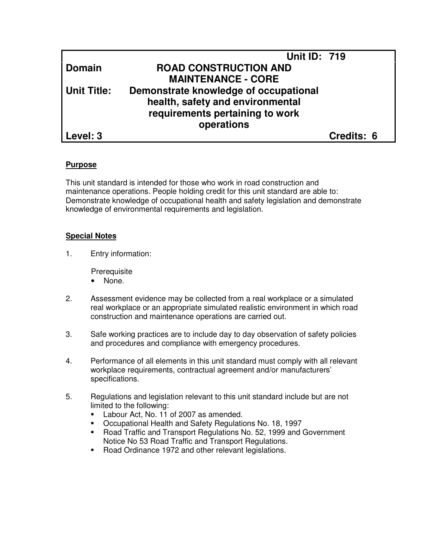|                    | <b>Unit ID: 719</b>                   |            |
|--------------------|---------------------------------------|------------|
| <b>Domain</b>      | <b>ROAD CONSTRUCTION AND</b>          |            |
|                    | <b>MAINTENANCE - CORE</b>             |            |
| <b>Unit Title:</b> | Demonstrate knowledge of occupational |            |
|                    | health, safety and environmental      |            |
|                    | requirements pertaining to work       |            |
|                    | operations                            |            |
| Level: 3           |                                       | Credits: 6 |

## **Purpose**

This unit standard is intended for those who work in road construction and maintenance operations. People holding credit for this unit standard are able to: Demonstrate knowledge of occupational health and safety legislation and demonstrate knowledge of environmental requirements and legislation.

#### **Special Notes**

1. Entry information:

**Prerequisite** 

- None.
- 2. Assessment evidence may be collected from a real workplace or a simulated real workplace or an appropriate simulated realistic environment in which road construction and maintenance operations are carried out.
- 3. Safe working practices are to include day to day observation of safety policies and procedures and compliance with emergency procedures.
- 4. Performance of all elements in this unit standard must comply with all relevant workplace requirements, contractual agreement and/or manufacturers' specifications.
- 5. Regulations and legislation relevant to this unit standard include but are not limited to the following:
	- **Labour Act, No. 11 of 2007 as amended.**
	- Occupational Health and Safety Regulations No. 18, 1997
	- Road Traffic and Transport Regulations No. 52, 1999 and Government Notice No 53 Road Traffic and Transport Regulations.
	- Road Ordinance 1972 and other relevant legislations.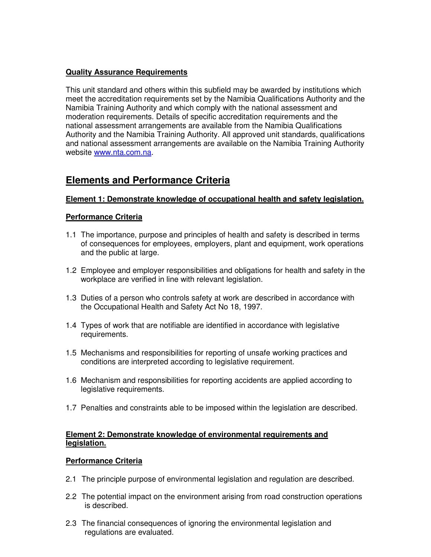# **Quality Assurance Requirements**

This unit standard and others within this subfield may be awarded by institutions which meet the accreditation requirements set by the Namibia Qualifications Authority and the Namibia Training Authority and which comply with the national assessment and moderation requirements. Details of specific accreditation requirements and the national assessment arrangements are available from the Namibia Qualifications Authority and the Namibia Training Authority. All approved unit standards, qualifications and national assessment arrangements are available on the Namibia Training Authority website www.nta.com.na.

# **Elements and Performance Criteria**

## **Element 1: Demonstrate knowledge of occupational health and safety legislation.**

## **Performance Criteria**

- 1.1 The importance, purpose and principles of health and safety is described in terms of consequences for employees, employers, plant and equipment, work operations and the public at large.
- 1.2 Employee and employer responsibilities and obligations for health and safety in the workplace are verified in line with relevant legislation.
- 1.3 Duties of a person who controls safety at work are described in accordance with the Occupational Health and Safety Act No 18, 1997.
- 1.4 Types of work that are notifiable are identified in accordance with legislative requirements.
- 1.5 Mechanisms and responsibilities for reporting of unsafe working practices and conditions are interpreted according to legislative requirement.
- 1.6 Mechanism and responsibilities for reporting accidents are applied according to legislative requirements.
- 1.7 Penalties and constraints able to be imposed within the legislation are described.

#### **Element 2: Demonstrate knowledge of environmental requirements and legislation.**

#### **Performance Criteria**

- 2.1 The principle purpose of environmental legislation and regulation are described.
- 2.2 The potential impact on the environment arising from road construction operations is described.
- 2.3 The financial consequences of ignoring the environmental legislation and regulations are evaluated.